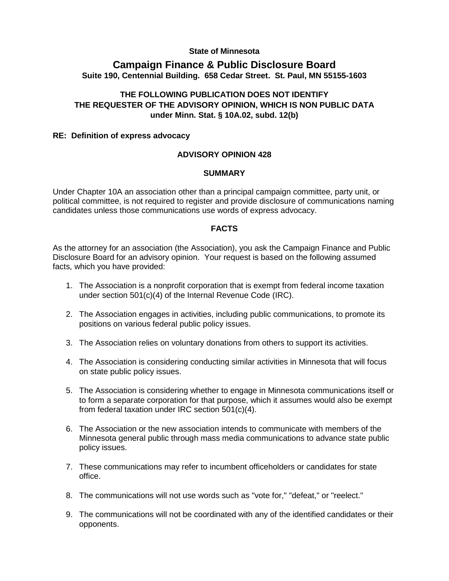#### **State of Minnesota**

## **Campaign Finance & Public Disclosure Board Suite 190, Centennial Building. 658 Cedar Street. St. Paul, MN 55155-1603**

# **THE FOLLOWING PUBLICATION DOES NOT IDENTIFY THE REQUESTER OF THE ADVISORY OPINION, WHICH IS NON PUBLIC DATA under Minn. Stat. § 10A.02, subd. 12(b)**

#### **RE: Definition of express advocacy**

## **ADVISORY OPINION 428**

#### **SUMMARY**

Under Chapter 10A an association other than a principal campaign committee, party unit, or political committee, is not required to register and provide disclosure of communications naming candidates unless those communications use words of express advocacy.

#### **FACTS**

As the attorney for an association (the Association), you ask the Campaign Finance and Public Disclosure Board for an advisory opinion. Your request is based on the following assumed facts, which you have provided:

- 1. The Association is a nonprofit corporation that is exempt from federal income taxation under section 501(c)(4) of the Internal Revenue Code (IRC).
- 2. The Association engages in activities, including public communications, to promote its positions on various federal public policy issues.
- 3. The Association relies on voluntary donations from others to support its activities.
- 4. The Association is considering conducting similar activities in Minnesota that will focus on state public policy issues.
- 5. The Association is considering whether to engage in Minnesota communications itself or to form a separate corporation for that purpose, which it assumes would also be exempt from federal taxation under IRC section 501(c)(4).
- 6. The Association or the new association intends to communicate with members of the Minnesota general public through mass media communications to advance state public policy issues.
- 7. These communications may refer to incumbent officeholders or candidates for state office.
- 8. The communications will not use words such as "vote for," "defeat," or "reelect."
- 9. The communications will not be coordinated with any of the identified candidates or their opponents.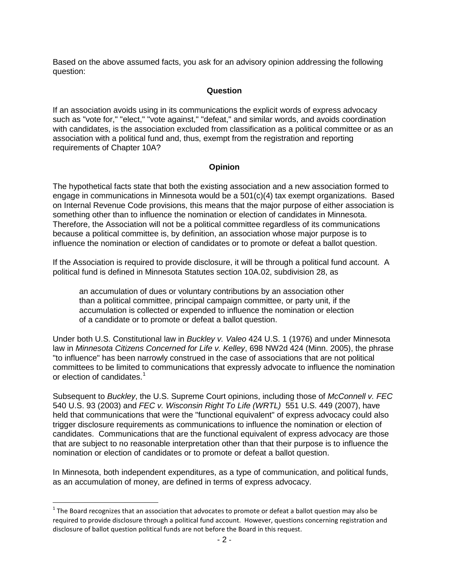Based on the above assumed facts, you ask for an advisory opinion addressing the following question:

## **Question**

If an association avoids using in its communications the explicit words of express advocacy such as "vote for," "elect," "vote against," "defeat," and similar words, and avoids coordination with candidates, is the association excluded from classification as a political committee or as an association with a political fund and, thus, exempt from the registration and reporting requirements of Chapter 10A?

## **Opinion**

The hypothetical facts state that both the existing association and a new association formed to engage in communications in Minnesota would be a 501(c)(4) tax exempt organizations. Based on Internal Revenue Code provisions, this means that the major purpose of either association is something other than to influence the nomination or election of candidates in Minnesota. Therefore, the Association will not be a political committee regardless of its communications because a political committee is, by definition, an association whose major purpose is to influence the nomination or election of candidates or to promote or defeat a ballot question.

If the Association is required to provide disclosure, it will be through a political fund account. A political fund is defined in Minnesota Statutes section 10A.02, subdivision 28, as

an accumulation of dues or voluntary contributions by an association other than a political committee, principal campaign committee, or party unit, if the accumulation is collected or expended to influence the nomination or election of a candidate or to promote or defeat a ballot question.

Under both U.S. Constitutional law in *Buckley v. Valeo* 424 U.S. 1 (1976) and under Minnesota law in *Minnesota Citizens Concerned for Life v. Kelley*, 698 NW2d 424 (Minn. 2005), the phrase "to influence" has been narrowly construed in the case of associations that are not political committees to be limited to communications that expressly advocate to influence the nomination or election of candidates.<sup>[1](#page-1-0)</sup>

Subsequent to *Buckley*, the U.S. Supreme Court opinions, including those of *McConnell v. FEC*  540 U.S. 93 (2003) and *FEC v. Wisconsin Right To Life (WRTL)* 551 U.S. 449 (2007), have held that communications that were the "functional equivalent" of express advocacy could also trigger disclosure requirements as communications to influence the nomination or election of candidates. Communications that are the functional equivalent of express advocacy are those that are subject to no reasonable interpretation other than that their purpose is to influence the nomination or election of candidates or to promote or defeat a ballot question.

In Minnesota, both independent expenditures, as a type of communication, and political funds, as an accumulation of money, are defined in terms of express advocacy.

<span id="page-1-0"></span> $1$  The Board recognizes that an association that advocates to promote or defeat a ballot question may also be required to provide disclosure through a political fund account. However, questions concerning registration and disclosure of ballot question political funds are not before the Board in this request.